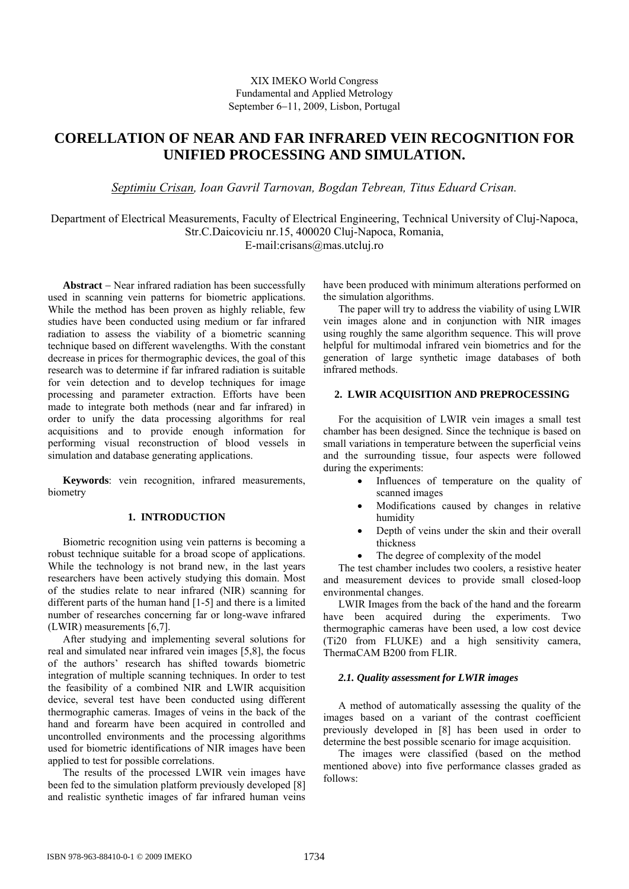## XIX IMEKO World Congress Fundamental and Applied Metrology September 6−11, 2009, Lisbon, Portugal

# **CORELLATION OF NEAR AND FAR INFRARED VEIN RECOGNITION FOR UNIFIED PROCESSING AND SIMULATION.**

*Septimiu Crisan, Ioan Gavril Tarnovan, Bogdan Tebrean, Titus Eduard Crisan.* 

Department of Electrical Measurements, Faculty of Electrical Engineering, Technical University of Cluj-Napoca, Str.C.Daicoviciu nr.15, 400020 Cluj-Napoca, Romania,

E-mail:crisans@mas.utcluj.ro

**Abstract** − Near infrared radiation has been successfully used in scanning vein patterns for biometric applications. While the method has been proven as highly reliable, few studies have been conducted using medium or far infrared radiation to assess the viability of a biometric scanning technique based on different wavelengths. With the constant decrease in prices for thermographic devices, the goal of this research was to determine if far infrared radiation is suitable for vein detection and to develop techniques for image processing and parameter extraction. Efforts have been made to integrate both methods (near and far infrared) in order to unify the data processing algorithms for real acquisitions and to provide enough information for performing visual reconstruction of blood vessels in simulation and database generating applications.

**Keywords**: vein recognition, infrared measurements, biometry

# **1. INTRODUCTION**

Biometric recognition using vein patterns is becoming a robust technique suitable for a broad scope of applications. While the technology is not brand new, in the last years researchers have been actively studying this domain. Most of the studies relate to near infrared (NIR) scanning for different parts of the human hand [1-5] and there is a limited number of researches concerning far or long-wave infrared (LWIR) measurements [6,7].

After studying and implementing several solutions for real and simulated near infrared vein images [5,8], the focus of the authors' research has shifted towards biometric integration of multiple scanning techniques. In order to test the feasibility of a combined NIR and LWIR acquisition device, several test have been conducted using different thermographic cameras. Images of veins in the back of the hand and forearm have been acquired in controlled and uncontrolled environments and the processing algorithms used for biometric identifications of NIR images have been applied to test for possible correlations.

The results of the processed LWIR vein images have been fed to the simulation platform previously developed [8] and realistic synthetic images of far infrared human veins

have been produced with minimum alterations performed on the simulation algorithms.

The paper will try to address the viability of using LWIR vein images alone and in conjunction with NIR images using roughly the same algorithm sequence. This will prove helpful for multimodal infrared vein biometrics and for the generation of large synthetic image databases of both infrared methods.

## **2. LWIR ACQUISITION AND PREPROCESSING**

For the acquisition of LWIR vein images a small test chamber has been designed. Since the technique is based on small variations in temperature between the superficial veins and the surrounding tissue, four aspects were followed during the experiments:

- Influences of temperature on the quality of scanned images
- Modifications caused by changes in relative humidity
- Depth of veins under the skin and their overall thickness
- The degree of complexity of the model

The test chamber includes two coolers, a resistive heater and measurement devices to provide small closed-loop environmental changes.

LWIR Images from the back of the hand and the forearm have been acquired during the experiments. Two thermographic cameras have been used, a low cost device (Ti20 from FLUKE) and a high sensitivity camera, ThermaCAM B200 from FLIR.

## *2.1. Quality assessment for LWIR images*

A method of automatically assessing the quality of the images based on a variant of the contrast coefficient previously developed in [8] has been used in order to determine the best possible scenario for image acquisition.

The images were classified (based on the method mentioned above) into five performance classes graded as follows: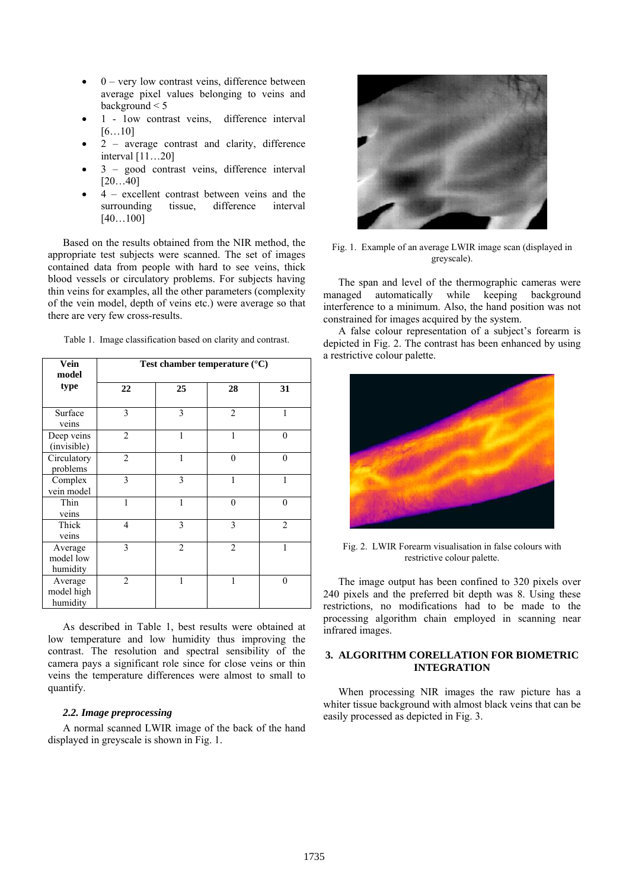- $\bullet$  0 very low contrast veins, difference between average pixel values belonging to veins and background < 5
- 1 1ow contrast veins, difference interval [6…10]
- $2$  average contrast and clarity, difference interval [11…20]
- 3 good contrast veins, difference interval [20…40]
- 4 excellent contrast between veins and the surrounding tissue, difference interval [40…100]

Based on the results obtained from the NIR method, the appropriate test subjects were scanned. The set of images contained data from people with hard to see veins, thick blood vessels or circulatory problems. For subjects having thin veins for examples, all the other parameters (complexity of the vein model, depth of veins etc.) were average so that there are very few cross-results.

| Vein<br>model                     | Test chamber temperature $(^{\circ}C)$ |                |                |                |
|-----------------------------------|----------------------------------------|----------------|----------------|----------------|
| type                              | 22                                     | 25             | 28             | 31             |
| Surface<br>veins                  | 3                                      | 3              | $\overline{2}$ | 1              |
| Deep veins<br>(invisible)         | $\overline{c}$                         | 1              | 1              | $\theta$       |
| Circulatory<br>problems           | $\overline{2}$                         | 1              | $\theta$       | $\theta$       |
| Complex<br>vein model             | 3                                      | 3              | 1              | 1              |
| Thin<br>veins                     | 1                                      | 1              | $\theta$       | $\theta$       |
| Thick<br>veins                    | 4                                      | 3              | 3              | $\overline{2}$ |
| Average<br>model low<br>humidity  | 3                                      | $\overline{2}$ | $\mathfrak{D}$ | 1              |
| Average<br>model high<br>humidity | $\overline{2}$                         |                |                | $\theta$       |

Table 1. Image classification based on clarity and contrast.

As described in Table 1, best results were obtained at low temperature and low humidity thus improving the contrast. The resolution and spectral sensibility of the camera pays a significant role since for close veins or thin veins the temperature differences were almost to small to quantify.

## *2.2. Image preprocessing*

A normal scanned LWIR image of the back of the hand displayed in greyscale is shown in Fig. 1.



Fig. 1. Example of an average LWIR image scan (displayed in greyscale).

The span and level of the thermographic cameras were managed automatically while keeping background interference to a minimum. Also, the hand position was not constrained for images acquired by the system.

A false colour representation of a subject's forearm is depicted in Fig. 2. The contrast has been enhanced by using a restrictive colour palette.



Fig. 2. LWIR Forearm visualisation in false colours with restrictive colour palette.

The image output has been confined to 320 pixels over 240 pixels and the preferred bit depth was 8. Using these restrictions, no modifications had to be made to the processing algorithm chain employed in scanning near infrared images.

## **3. ALGORITHM CORELLATION FOR BIOMETRIC INTEGRATION**

When processing NIR images the raw picture has a whiter tissue background with almost black veins that can be easily processed as depicted in Fig. 3.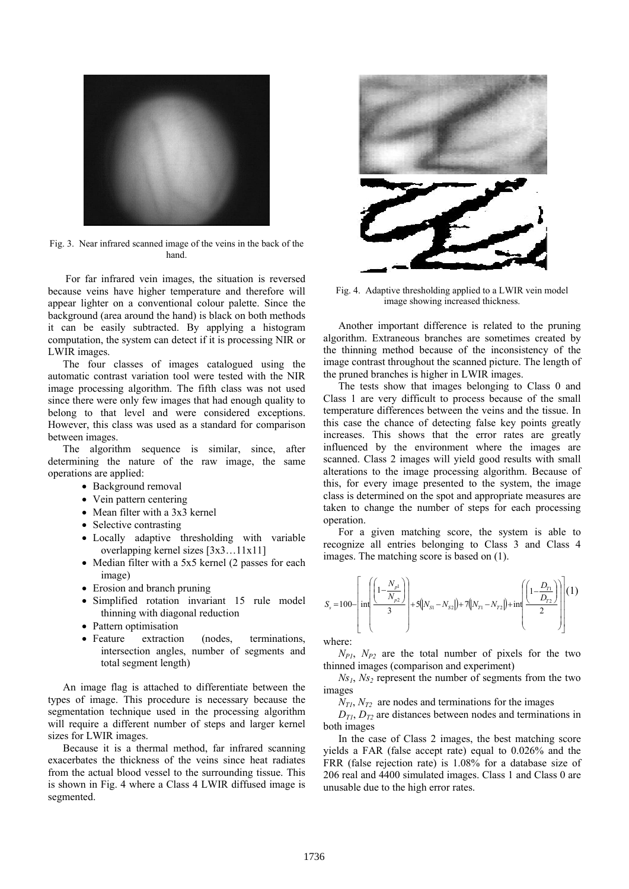

Fig. 3. Near infrared scanned image of the veins in the back of the hand.

 For far infrared vein images, the situation is reversed because veins have higher temperature and therefore will appear lighter on a conventional colour palette. Since the background (area around the hand) is black on both methods it can be easily subtracted. By applying a histogram computation, the system can detect if it is processing NIR or LWIR images.

The four classes of images catalogued using the automatic contrast variation tool were tested with the NIR image processing algorithm. The fifth class was not used since there were only few images that had enough quality to belong to that level and were considered exceptions. However, this class was used as a standard for comparison between images.

The algorithm sequence is similar, since, after determining the nature of the raw image, the same operations are applied:

- Background removal
- Vein pattern centering
- Mean filter with a 3x3 kernel
- Selective contrasting
- Locally adaptive thresholding with variable overlapping kernel sizes [3x3…11x11]
- Median filter with a 5x5 kernel (2 passes for each image)
- Erosion and branch pruning
- Simplified rotation invariant 15 rule model thinning with diagonal reduction
- Pattern optimisation
- Feature extraction (nodes, terminations, intersection angles, number of segments and total segment length)

An image flag is attached to differentiate between the types of image. This procedure is necessary because the segmentation technique used in the processing algorithm will require a different number of steps and larger kernel sizes for LWIR images.

Because it is a thermal method, far infrared scanning exacerbates the thickness of the veins since heat radiates from the actual blood vessel to the surrounding tissue. This is shown in Fig. 4 where a Class 4 LWIR diffused image is segmented.



Fig. 4. Adaptive thresholding applied to a LWIR vein model image showing increased thickness.

Another important difference is related to the pruning algorithm. Extraneous branches are sometimes created by the thinning method because of the inconsistency of the image contrast throughout the scanned picture. The length of the pruned branches is higher in LWIR images.

The tests show that images belonging to Class 0 and Class 1 are very difficult to process because of the small temperature differences between the veins and the tissue. In this case the chance of detecting false key points greatly increases. This shows that the error rates are greatly influenced by the environment where the images are scanned. Class 2 images will yield good results with small alterations to the image processing algorithm. Because of this, for every image presented to the system, the image class is determined on the spot and appropriate measures are taken to change the number of steps for each processing operation.

For a given matching score, the system is able to recognize all entries belonging to Class 3 and Class 4 images. The matching score is based on (1).

$$
S_{s} = 100 - \left[ \inf \left( \frac{1 - \frac{N_{p1}}{N_{p2}}}{3} \right) + 5(N_{S1} - N_{S2}) + 7(N_{T1} - N_{T2}) + \inf \left( \frac{1 - \frac{D_{T1}}{D_{T2}}}{2} \right) \right] (1)
$$

where:

 $N_{PL}$ ,  $N_{P2}$  are the total number of pixels for the two thinned images (comparison and experiment)

 $Ns_1$ ,  $Ns_2$  represent the number of segments from the two images

 $N_{T1}$ ,  $N_{T2}$  are nodes and terminations for the images

 $D_{T1}$ ,  $D_{T2}$  are distances between nodes and terminations in both images

 In the case of Class 2 images, the best matching score yields a FAR (false accept rate) equal to 0.026% and the FRR (false rejection rate) is 1.08% for a database size of 206 real and 4400 simulated images. Class 1 and Class 0 are unusable due to the high error rates.